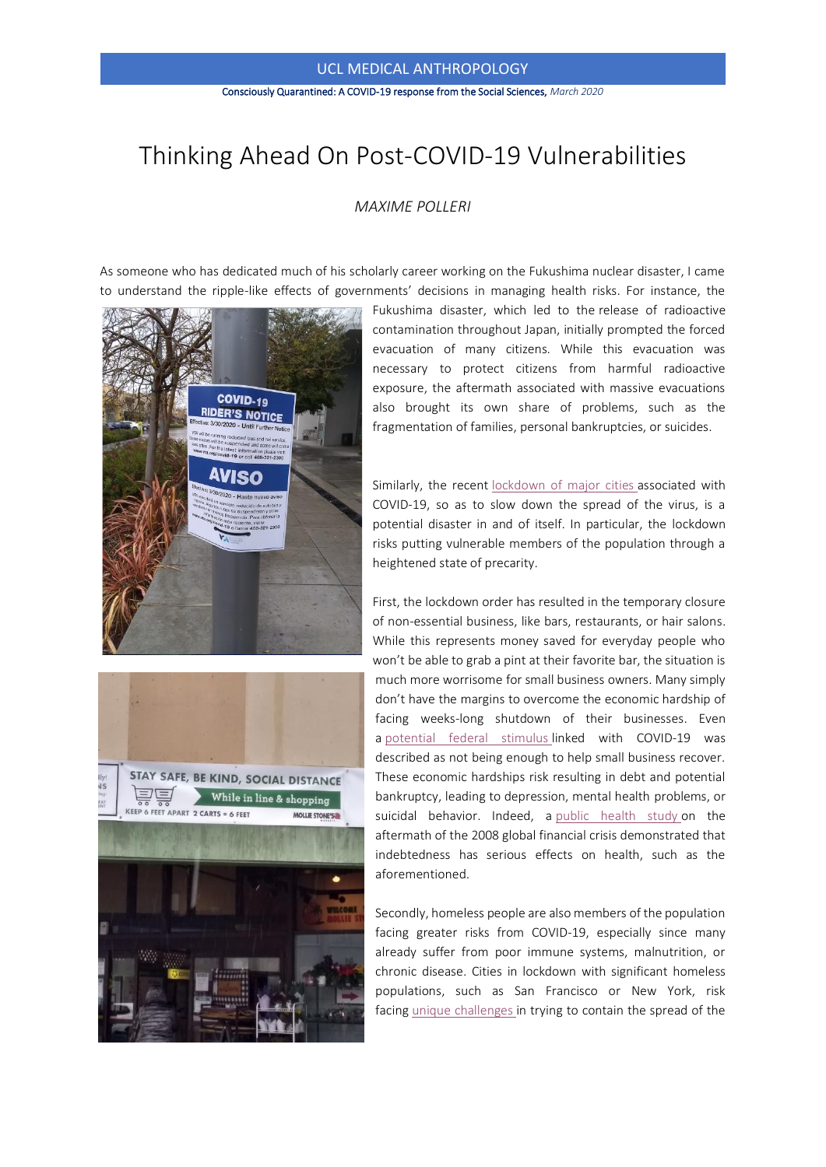## UCL MEDICAL ANTHROPOLOGY

#### Consciously Quarantined: A COVID-19 response from the Social Sciences, *March 2020*

# Thinking Ahead On Post-COVID-19 Vulnerabilities

#### *MAXIME POLLERI*

As someone who has dedicated much of his scholarly career working on the Fukushima nuclear disaster, I came to understand the ripple-like effects of governments' decisions in managing health risks. For instance, the





Fukushima disaster, which led to the release of radioactive contamination throughout Japan, initially prompted the forced evacuation of many citizens. While this evacuation was necessary to protect citizens from harmful radioactive exposure, the aftermath associated with massive evacuations also brought its own share of problems, such as the fragmentation of families, personal bankruptcies, or suicides.

Similarly, the recent [lockdown of major cities](https://eur01.safelinks.protection.outlook.com/?url=https%3A%2F%2Fabcnews.go.com%2FUS%2Fcoronavirus-live-updates-establishments-country-begin-shutting%2Fstory%3Fid%3D69615056&data=02%7C01%7C%7C0f07cd4cff3a4007559608d7d0d75303%7C1faf88fea9984c5b93c9210a11d9a5c2%7C0%7C1%7C637207495548176191&sdata=unklPq4yRhFOdk5rb9h6K5HgDaynprESaY5JoBYstSU%3D&reserved=0) associated with COVID-19, so as to slow down the spread of the virus, is a potential disaster in and of itself. In particular, the lockdown risks putting vulnerable members of the population through a heightened state of precarity.

First, the lockdown order has resulted in the temporary closure of non-essential business, like bars, restaurants, or hair salons. While this represents money saved for everyday people who won't be able to grab a pint at their favorite bar, the situation is much more worrisome for small business owners. Many simply don't have the margins to overcome the economic hardship of facing weeks-long shutdown of their businesses. Even a [potential federal stimulus](https://eur01.safelinks.protection.outlook.com/?url=https%3A%2F%2Fwww.abc.net.au%2Fnews%2F2020-03-12%2Fdarwin-auto-electrician-fears-shutdown-with-coronavirus-slowdown%2F12049616&data=02%7C01%7C%7C0f07cd4cff3a4007559608d7d0d75303%7C1faf88fea9984c5b93c9210a11d9a5c2%7C0%7C1%7C637207495548186182&sdata=N3JTEvbVHs721trJR%2BhwerEmXWyJ8HID4%2FsocH7BE%2BA%3D&reserved=0) linked with COVID-19 was described as not being enough to help small business recover. These economic hardships risk resulting in debt and potential bankruptcy, leading to depression, mental health problems, or suicidal behavior. Indeed, a [public health study](https://eur01.safelinks.protection.outlook.com/?url=https%3A%2F%2Fwww.ncbi.nlm.nih.gov%2Fpmc%2Farticles%2FPMC4060868%2F&data=02%7C01%7C%7C0f07cd4cff3a4007559608d7d0d75303%7C1faf88fea9984c5b93c9210a11d9a5c2%7C0%7C1%7C637207495548186182&sdata=DbARxm3fgg13LWgOim51C8YY8a%2Bwb5jR95gf8pAMxJ0%3D&reserved=0) on the aftermath of the 2008 global financial crisis demonstrated that indebtedness has serious effects on health, such as the aforementioned.

Secondly, homeless people are also members of the population facing greater risks from COVID-19, especially since many already suffer from poor immune systems, malnutrition, or chronic disease. Cities in lockdown with significant homeless populations, such as San Francisco or New York, risk facing [unique challenges](https://eur01.safelinks.protection.outlook.com/?url=https%3A%2F%2Fwww.thelancet.com%2Fjournals%2Flanpub%2Farticle%2FPIIS2468-2667(20)30053-0%2Ffulltext&data=02%7C01%7C%7C0f07cd4cff3a4007559608d7d0d75303%7C1faf88fea9984c5b93c9210a11d9a5c2%7C0%7C0%7C637207495548196177&sdata=FhdX3et5rR4fudTuHY2Nk5SVM1eEcsBUZ4T1qf6GVVk%3D&reserved=0) in trying to contain the spread of the